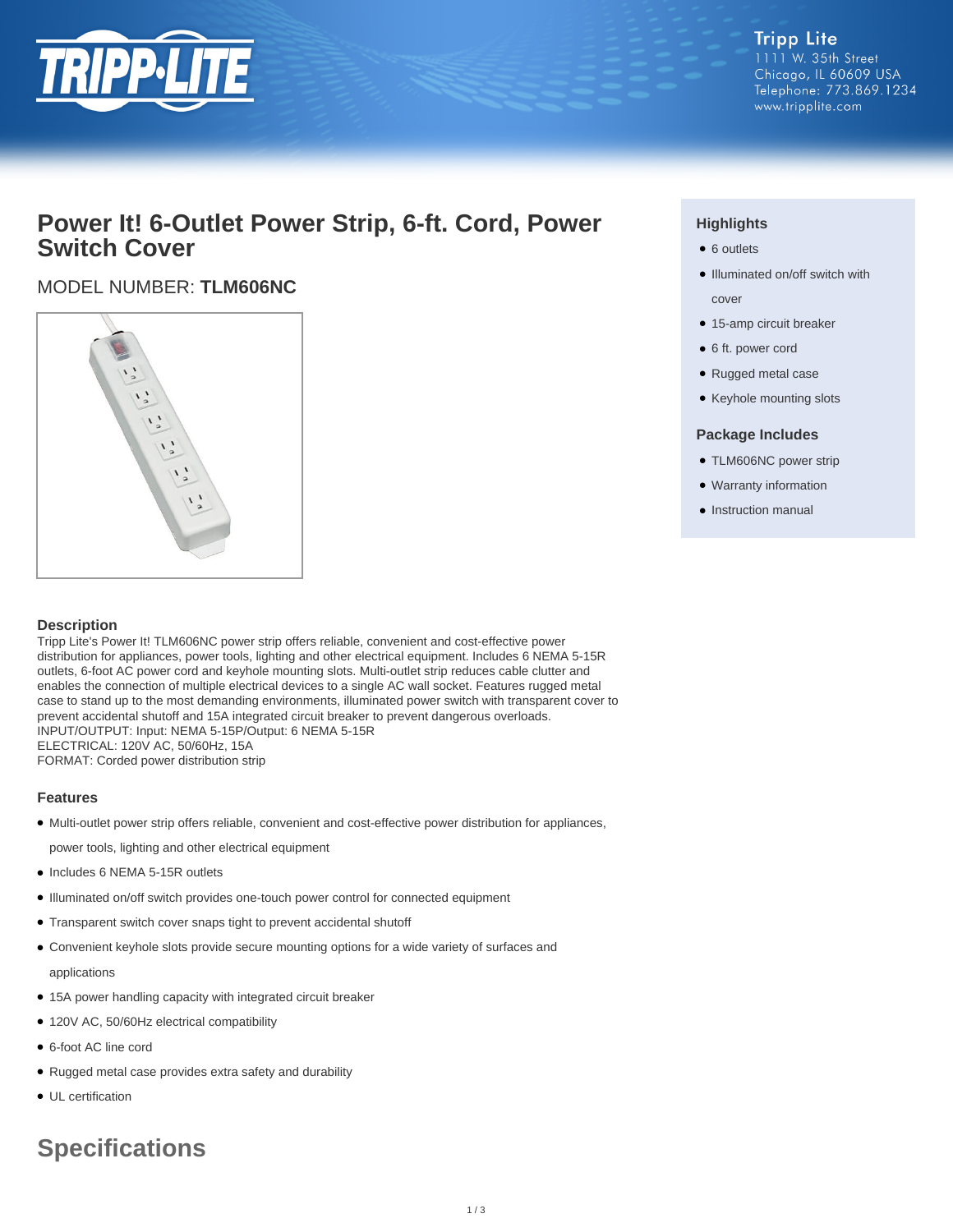

## **Power It! 6-Outlet Power Strip, 6-ft. Cord, Power Switch Cover**

### MODEL NUMBER: **TLM606NC**



#### **Description**

Tripp Lite's Power It! TLM606NC power strip offers reliable, convenient and cost-effective power distribution for appliances, power tools, lighting and other electrical equipment. Includes 6 NEMA 5-15R outlets, 6-foot AC power cord and keyhole mounting slots. Multi-outlet strip reduces cable clutter and enables the connection of multiple electrical devices to a single AC wall socket. Features rugged metal case to stand up to the most demanding environments, illuminated power switch with transparent cover to prevent accidental shutoff and 15A integrated circuit breaker to prevent dangerous overloads. INPUT/OUTPUT: Input: NEMA 5-15P/Output: 6 NEMA 5-15R ELECTRICAL: 120V AC, 50/60Hz, 15A

FORMAT: Corded power distribution strip

#### **Features**

● Multi-outlet power strip offers reliable, convenient and cost-effective power distribution for appliances,

power tools, lighting and other electrical equipment

- Includes 6 NEMA 5-15R outlets
- Illuminated on/off switch provides one-touch power control for connected equipment
- Transparent switch cover snaps tight to prevent accidental shutoff
- Convenient keyhole slots provide secure mounting options for a wide variety of surfaces and applications
- 15A power handling capacity with integrated circuit breaker
- 120V AC, 50/60Hz electrical compatibility
- 6-foot AC line cord
- Rugged metal case provides extra safety and durability
- UL certification

# **Specifications**

## **Highlights**

- 6 outlets
- Illuminated on/off switch with cover
- 15-amp circuit breaker
- 6 ft. power cord
- Rugged metal case
- Keyhole mounting slots

#### **Package Includes**

- TLM606NC power strip
- Warranty information
- Instruction manual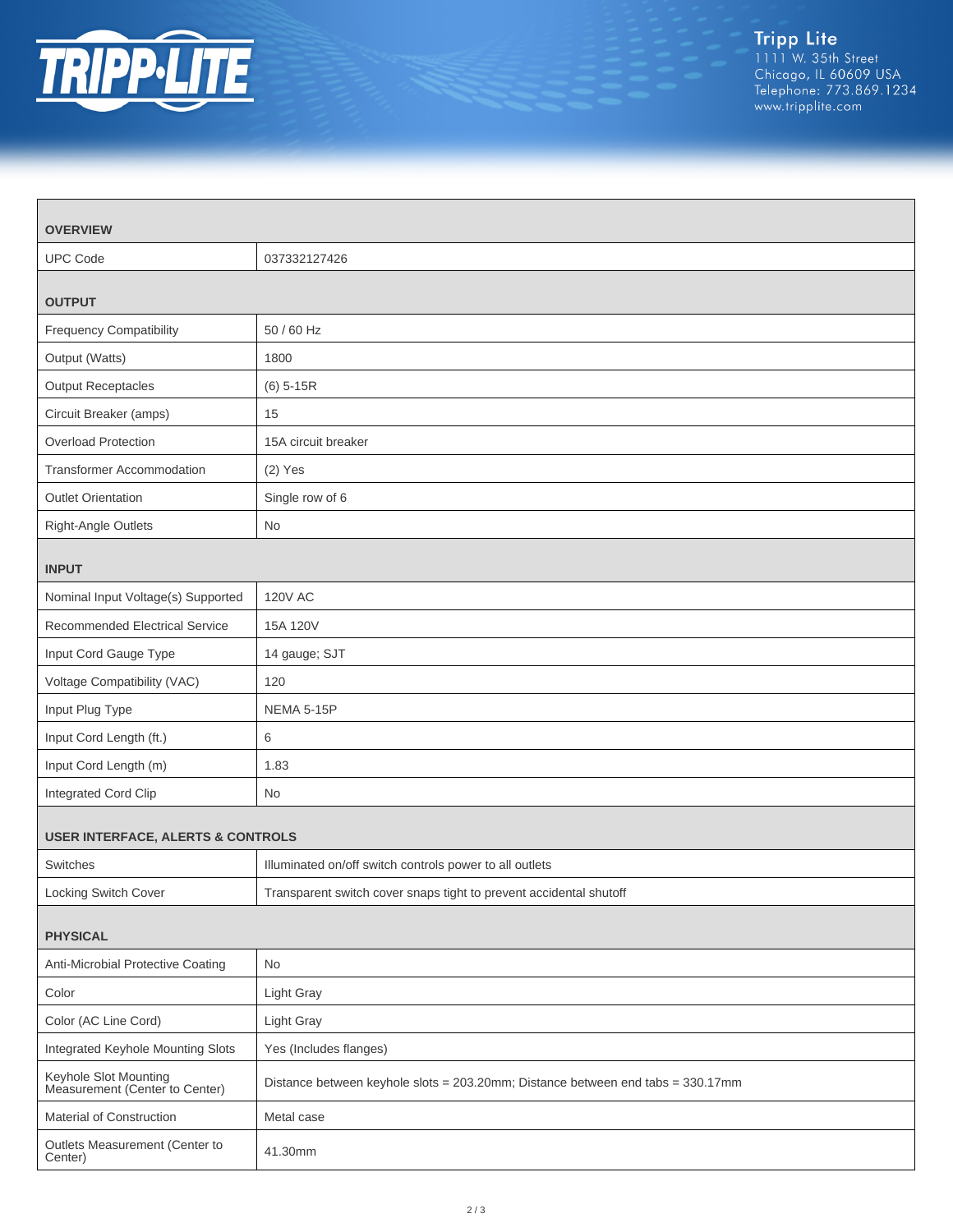

| <b>OVERVIEW</b>                                         |                                                                                 |  |
|---------------------------------------------------------|---------------------------------------------------------------------------------|--|
| <b>UPC Code</b>                                         | 037332127426                                                                    |  |
| <b>OUTPUT</b>                                           |                                                                                 |  |
| <b>Frequency Compatibility</b>                          | 50 / 60 Hz                                                                      |  |
| Output (Watts)                                          | 1800                                                                            |  |
| <b>Output Receptacles</b>                               | $(6)$ 5-15R                                                                     |  |
| Circuit Breaker (amps)                                  | 15                                                                              |  |
| Overload Protection                                     | 15A circuit breaker                                                             |  |
| Transformer Accommodation                               | $(2)$ Yes                                                                       |  |
| <b>Outlet Orientation</b>                               | Single row of 6                                                                 |  |
| Right-Angle Outlets                                     | No                                                                              |  |
| <b>INPUT</b>                                            |                                                                                 |  |
| Nominal Input Voltage(s) Supported                      | <b>120V AC</b>                                                                  |  |
| <b>Recommended Electrical Service</b>                   | 15A 120V                                                                        |  |
| Input Cord Gauge Type                                   | 14 gauge; SJT                                                                   |  |
| Voltage Compatibility (VAC)                             | 120                                                                             |  |
| Input Plug Type                                         | <b>NEMA 5-15P</b>                                                               |  |
| Input Cord Length (ft.)                                 | 6                                                                               |  |
| Input Cord Length (m)                                   | 1.83                                                                            |  |
| Integrated Cord Clip                                    | No                                                                              |  |
| <b>USER INTERFACE, ALERTS &amp; CONTROLS</b>            |                                                                                 |  |
| Switches                                                | Illuminated on/off switch controls power to all outlets                         |  |
| Locking Switch Cover                                    | Transparent switch cover snaps tight to prevent accidental shutoff              |  |
| <b>PHYSICAL</b>                                         |                                                                                 |  |
| Anti-Microbial Protective Coating                       | <b>No</b>                                                                       |  |
| Color                                                   | Light Gray                                                                      |  |
| Color (AC Line Cord)                                    | Light Gray                                                                      |  |
| Integrated Keyhole Mounting Slots                       | Yes (Includes flanges)                                                          |  |
| Keyhole Slot Mounting<br>Measurement (Center to Center) | Distance between keyhole slots = 203.20mm; Distance between end tabs = 330.17mm |  |
| Material of Construction                                | Metal case                                                                      |  |
| Outlets Measurement (Center to<br>Center)               | 41.30mm                                                                         |  |